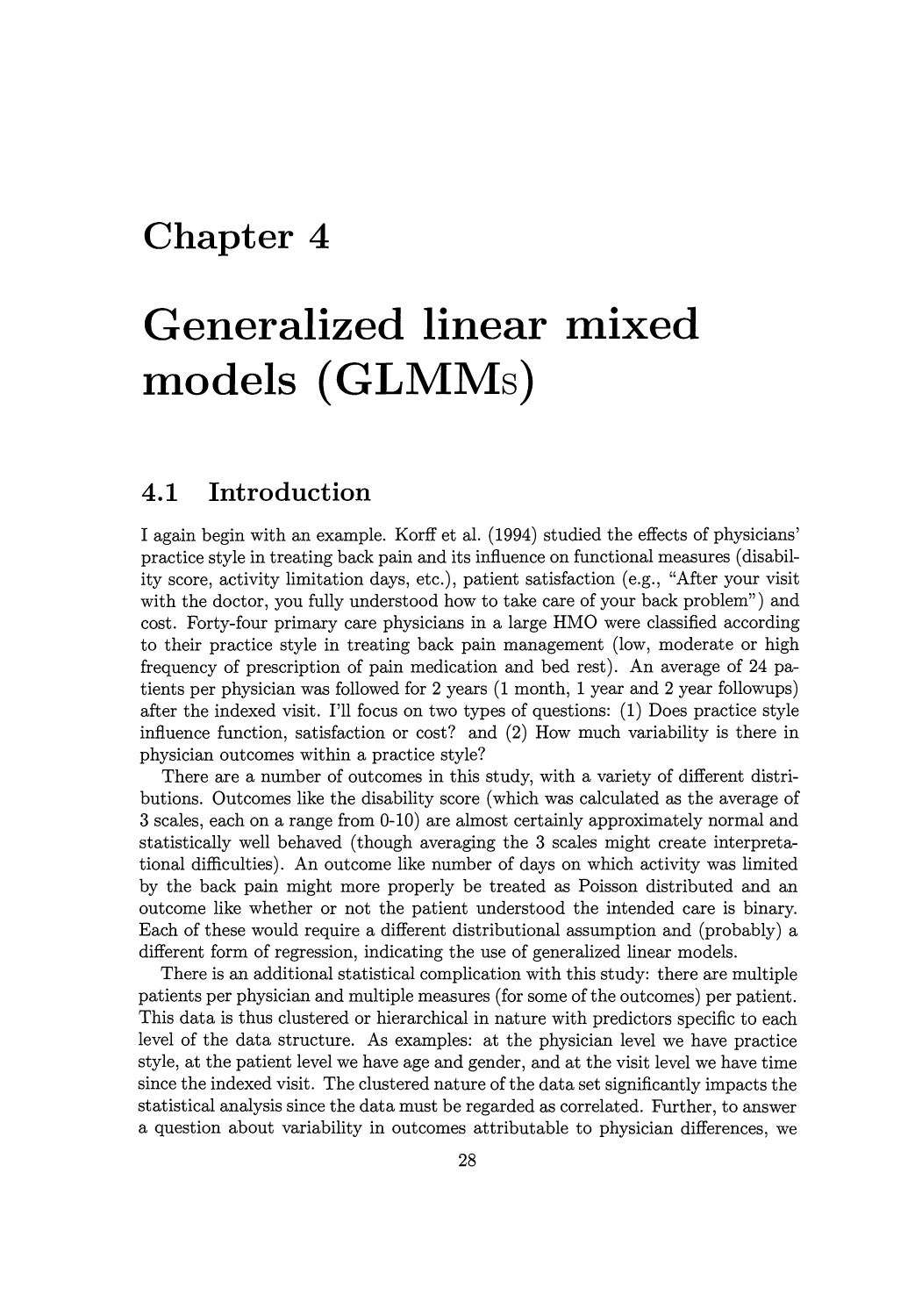## **Chapter 4**

# **Generalized linear mixed**  models (GLMMs)

## **4.1 Introduction**

I again begin with an example. Korff et al. (1994) studied the effects of physicians' practice style in treating back pain and its influence on functional measures ( disability score, activity limitation days, etc.), patient satisfaction (e.g., "After your visit with the doctor, you fully understood how to take care of your back problem") and cost. Forty-four primary care physicians in a large HMO were classified according to their practice style in treating back pain management (low, moderate or high frequency of prescription of pain medication and bed rest). An average of 24 patients per physician was followed for 2 years (1 month, 1 year and 2 year followups) after the indexed visit. I'll focus on two types of questions: (1) Does practice style influence function, satisfaction or cost? and (2) How much variability is there in physician outcomes within a practice style?

There are a number of outcomes in this study, with a variety of different distributions. Outcomes like the disability score (which was calculated as the average of 3 scales, each on a range from 0-10) are almost certainly approximately normal and statistically well behaved (though averaging the 3 scales might create interpretational difficulties). An outcome like number of days on which activity was limited by the back pain might more properly be treated as Poisson distributed and an outcome like whether or not the patient understood the intended care is binary. Each of these would require a different distributional assumption and (probably) a different form of regression, indicating the use of generalized linear models.

There is an additional statistical complication with this study: there are multiple patients per physician and multiple measures (for some of the outcomes) per patient. This data is thus clustered or hierarchical in nature with predictors specific to each level of the data structure. As examples: at the physician level we have practice style, at the patient level we have age and gender, and at the visit level we have time since the indexed visit. The clustered nature of the data set significantly impacts the statistical analysis since the data must be regarded as correlated. Further, to answer a question about variability in outcomes attributable to physician differences, we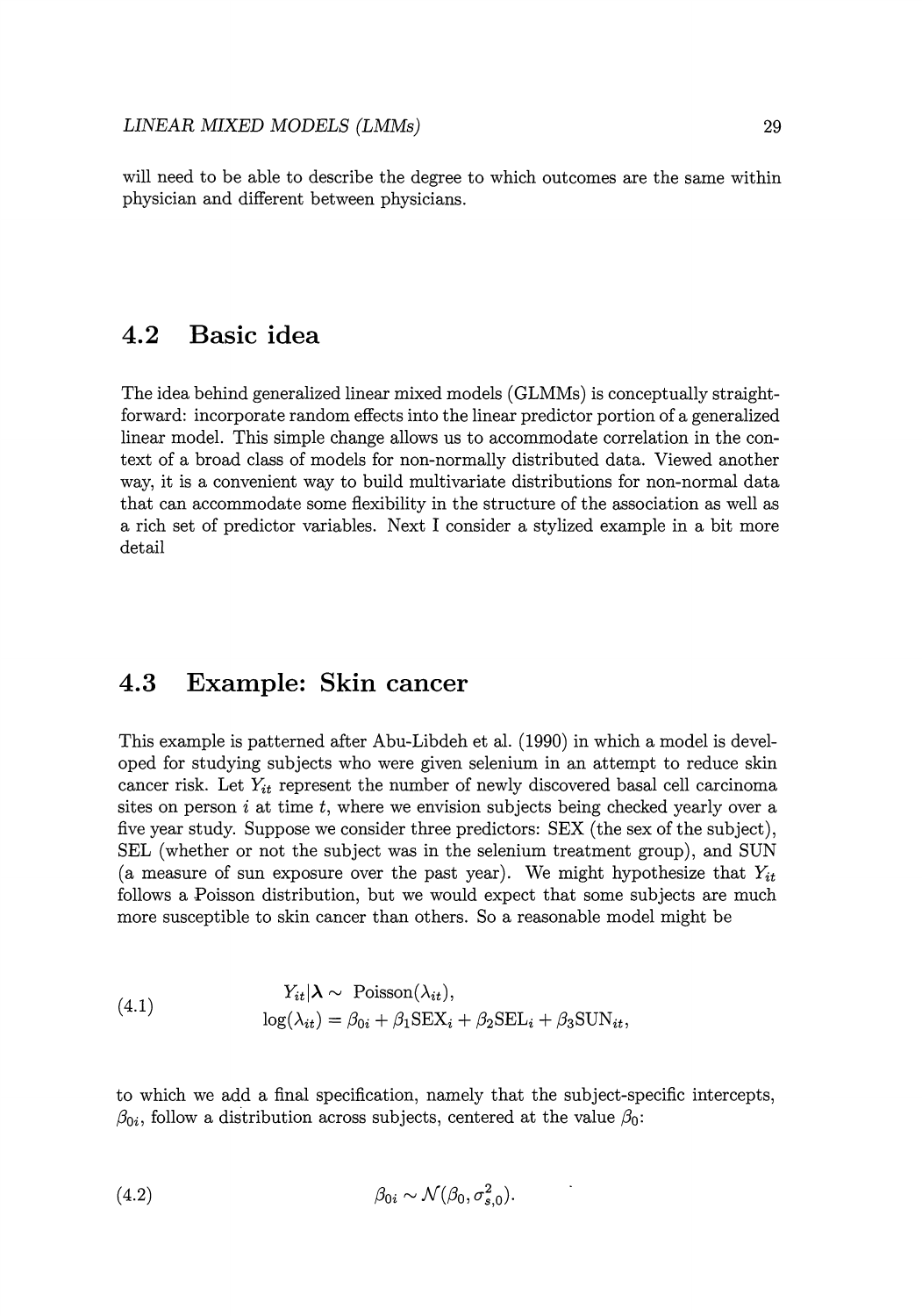will need to be able to describe the degree to which outcomes are the same within physician and different between physicians.

## **4.2 Basic idea**

The idea behind generalized linear mixed models (GLMMs) is conceptually straightforward: incorporate random effects into the linear predictor portion of a generalized linear model. This simple change allows us to accommodate correlation in the context of a broad class of models for non-normally distributed data. Viewed another way, it is a convenient way to build multivariate distributions for non-normal data that can accommodate some flexibility in the structure of the association as well as a rich set of predictor variables. Next I consider a stylized example in a bit more detail

## **4.3 Example: Skin cancer**

This example is patterned after Abu-Libdeh et al. (1990) in which a model is developed for studying subjects who were given selenium in an attempt to reduce skin cancer risk. Let  $Y_{it}$  represent the number of newly discovered basal cell carcinoma sites on person i at time *t,* where we envision subjects being checked yearly over a five year study. Suppose we consider three predictors: SEX (the sex of the subject), SEL (whether or not the subject was in the selenium treatment group), and SUN (a measure of sun exposure over the past year). We might hypothesize that  $Y_{it}$ follows a Poisson distribution, but we would expect that some subjects are much more susceptible to skin cancer than others. So a reasonable model might be

(4.1) 
$$
Y_{it} | \lambda \sim \text{Poisson}(\lambda_{it}),
$$

$$
\log(\lambda_{it}) = \beta_{0i} + \beta_1 \text{SEX}_i + \beta_2 \text{SEL}_i + \beta_3 \text{SUN}_{it},
$$

to which we add a final specification, namely that the subject-specific intercepts,  $\beta_{0i}$ , follow a distribution across subjects, centered at the value  $\beta_0$ :

$$
\beta_{0i} \sim \mathcal{N}(\beta_0, \sigma_{s,0}^2).
$$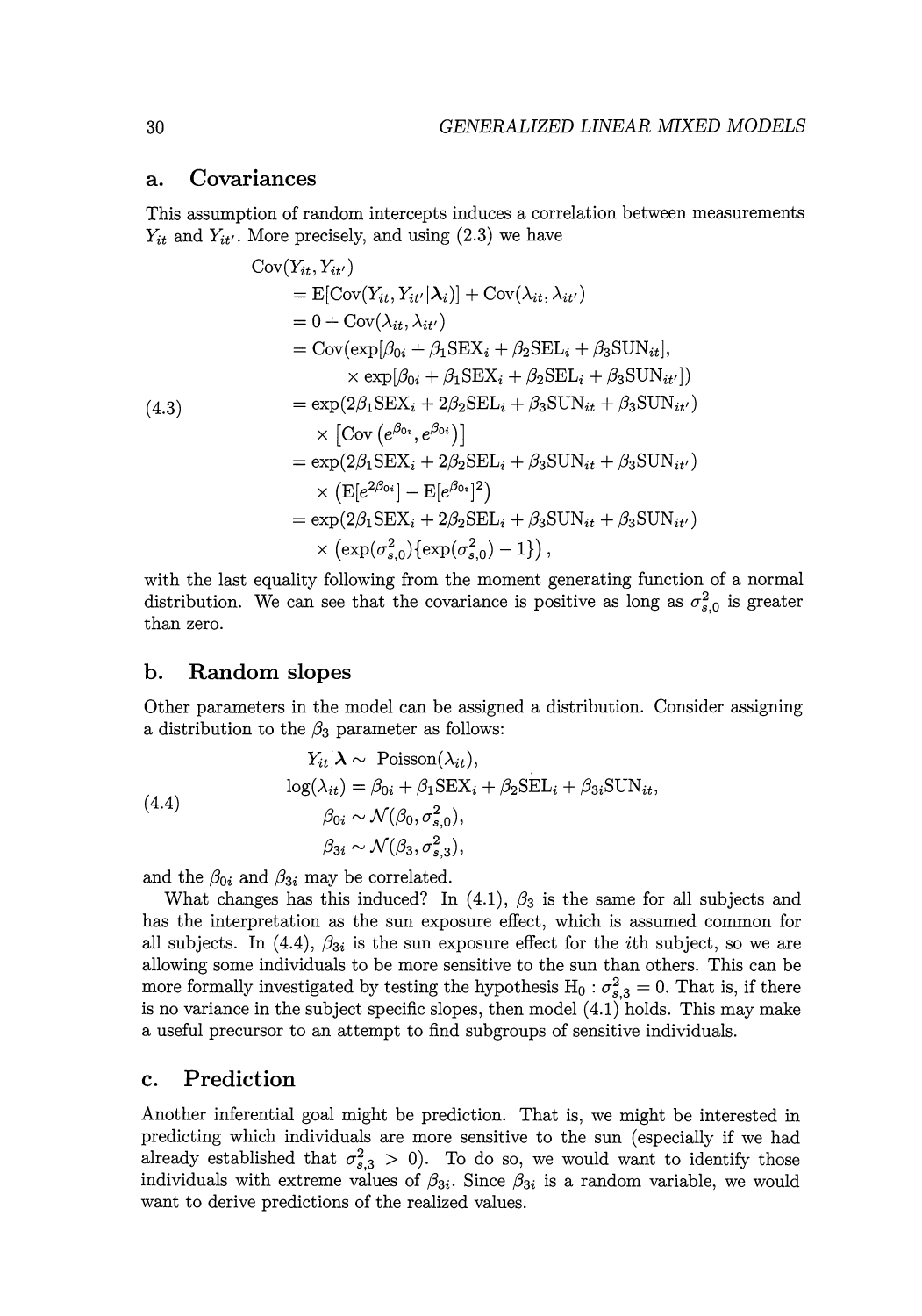#### **a. Covariances**

This assumption of random intercepts induces a correlation between measurements  $Y_{it}$  and  $Y_{it'}$ . More precisely, and using  $(2.3)$  we have

$$
Cov(Y_{it}, Y_{it'})
$$
  
=  $E[Cov(Y_{it}, Y_{it'}|\lambda_i)] + Cov(\lambda_{it}, \lambda_{it'})$   
= 0 + Cov(\lambda\_{it}, \lambda\_{it'})  
= Cov(exp[\beta\_{0i} + \beta\_1 SEX\_i + \beta\_2 SEL\_i + \beta\_3 SUN\_{it}],  
\times exp[\beta\_{0i} + \beta\_1 SEX\_i + \beta\_2 SEL\_i + \beta\_3 SUN\_{it'}])  
= exp(2\beta\_1 SEX\_i + 2\beta\_2 SEL\_i + \beta\_3 SUN\_{it} + \beta\_3 SUN\_{it'})  
\times [Cov(e^{\beta\_{0i}}, e^{\beta\_{0i}})]  
= exp(2\beta\_1 SEX\_i + 2\beta\_2 SEL\_i + \beta\_3 SUN\_{it} + \beta\_3 SUN\_{it'})  
\times (E[e^{2\beta\_{0i}}] - E[e^{\beta\_{0i}}]^2)  
= exp(2\beta\_1 SEX\_i + 2\beta\_2 SEL\_i + \beta\_3 SUN\_{it} + \beta\_3 SUN\_{it'})  
\times (exp(\sigma\_{s,0}^2) \{exp(\sigma\_{s,0}^2) - 1\}),

with the last equality following from the moment generating function of a normal distribution. We can see that the covariance is positive as long as  $\sigma_{s,0}^2$  is greater than zero.

#### **b. Random slopes**

Other parameters in the model can be assigned a distribution. Consider assigning a distribution to the  $\beta_3$  parameter as follows:

(4.4)  
\n
$$
Y_{it} | \lambda \sim \text{Poisson}(\lambda_{it}),
$$
\n
$$
\log(\lambda_{it}) = \beta_{0i} + \beta_1 \text{SEX}_i + \beta_2 \text{SEL}_i + \beta_{3i} \text{SUN}_{it},
$$
\n
$$
\beta_{0i} \sim \mathcal{N}(\beta_0, \sigma_{s,0}^2),
$$
\n
$$
\beta_{3i} \sim \mathcal{N}(\beta_3, \sigma_{s,3}^2),
$$

and the  $\beta_{0i}$  and  $\beta_{3i}$  may be correlated.

What changes has this induced? In (4.1),  $\beta_3$  is the same for all subjects and has the interpretation as the sun exposure effect, which is assumed common for all subjects. In  $(4.4)$ ,  $\beta_{3i}$  is the sun exposure effect for the *i*th subject, so we are allowing some individuals to be more sensitive to the sun than others. This can be more formally investigated by testing the hypothesis  $H_0$ :  $\sigma_{s,3}^2 = 0$ . That is, if there is no variance in the subject specific slopes, then model  $(4.1)$  holds. This may make a useful precursor to an attempt to find subgroups of sensitive individuals.

#### **c. Prediction**

Another inferential goal might be prediction. That is, we might be interested in predicting which individuals are more sensitive to the sun (especially if we had already established that  $\sigma_{s,3}^2 > 0$ ). To do so, we would want to identify those individuals with extreme values of  $\beta_{3i}$ . Since  $\beta_{3i}$  is a random variable, we would want to derive predictions of the realized values.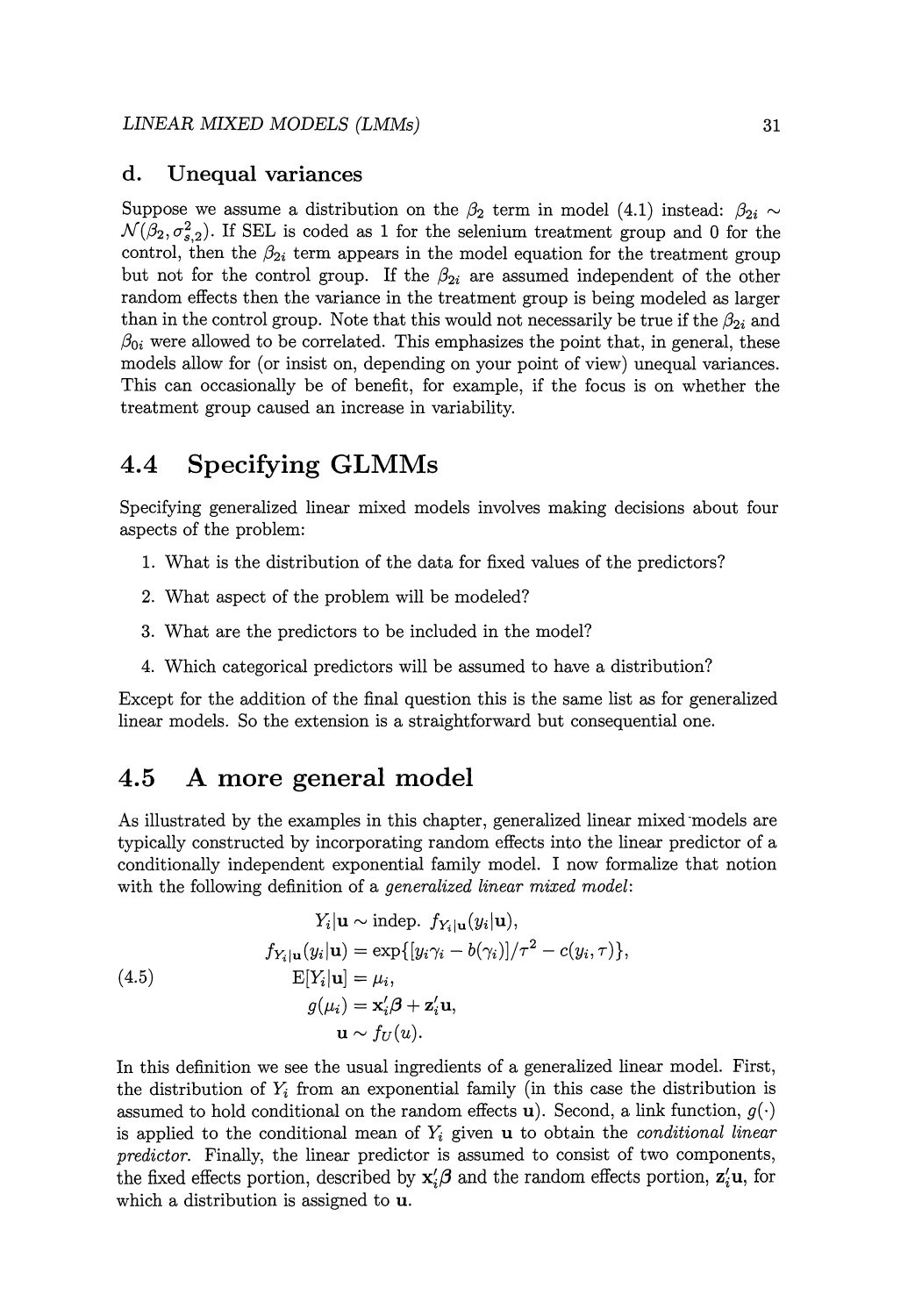#### **d. Unequal variances**

Suppose we assume a distribution on the  $\beta_2$  term in model (4.1) instead:  $\beta_{2i} \sim$  $\mathcal{N}(\beta_2, \sigma_{s,2}^2)$ . If SEL is coded as 1 for the selenium treatment group and 0 for the control, then the  $\beta_{2i}$  term appears in the model equation for the treatment group but not for the control group. If the  $\beta_{2i}$  are assumed independent of the other random effects then the variance in the treatment group is being modeled as larger than in the control group. Note that this would not necessarily be true if the  $\beta_{2i}$  and  $\beta_{0i}$  were allowed to be correlated. This emphasizes the point that, in general, these models allow for (or insist on, depending on your point of view) unequal variances. This can occasionally be of benefit, for example, if the focus is on whether the treatment group caused an increase in variability.

## **4.4 Specifying GLMMs**

Specifying generalized linear mixed models involves making decisions about four aspects of the problem:

- 1. What is the distribution of the data for fixed values of the predictors?
- 2. What aspect of the problem will be modeled?
- 3. What are the predictors to be included in the model?
- 4. Which categorical predictors will be assumed to have a distribution?

Except for the addition of the final question this is the same list as for generalized linear models. So the extension is a straightforward but consequential one.

## **4.5 A more general model**

As illustrated by the examples in this chapter, generalized linear mixed models are typically constructed by incorporating random effects into the linear predictor of a conditionally independent exponential family model. I now formalize that notion with the following definition of a *generalized linear mixed model:* 

(4.5)  
\n
$$
Y_i | \mathbf{u} \sim \text{indep. } f_{Y_i | \mathbf{u}}(y_i | \mathbf{u}),
$$
\n
$$
f_{Y_i | \mathbf{u}}(y_i | \mathbf{u}) = \exp\{[y_i \gamma_i - b(\gamma_i)] / \tau^2 - c(y_i, \tau)\},
$$
\n
$$
E[Y_i | \mathbf{u}] = \mu_i,
$$
\n
$$
g(\mu_i) = \mathbf{x}_i' \boldsymbol{\beta} + \mathbf{z}_i' \mathbf{u},
$$
\n
$$
\mathbf{u} \sim f_U(\mathbf{u}).
$$

In this definition we see the usual ingredients of a generalized linear model. First, the distribution of  $Y_i$  from an exponential family (in this case the distribution is assumed to hold conditional on the random effects **u**). Second, a link function,  $g(\cdot)$ is applied to the conditional mean of *Yi* given **u** to obtain the *conditional linear predictor.* Finally, the linear predictor is assumed to consist of two components, the fixed effects portion, described by  $\mathbf{x}'_i \boldsymbol{\beta}$  and the random effects portion,  $\mathbf{z}'_i \mathbf{u}$ , for which a distribution is assigned to **u.**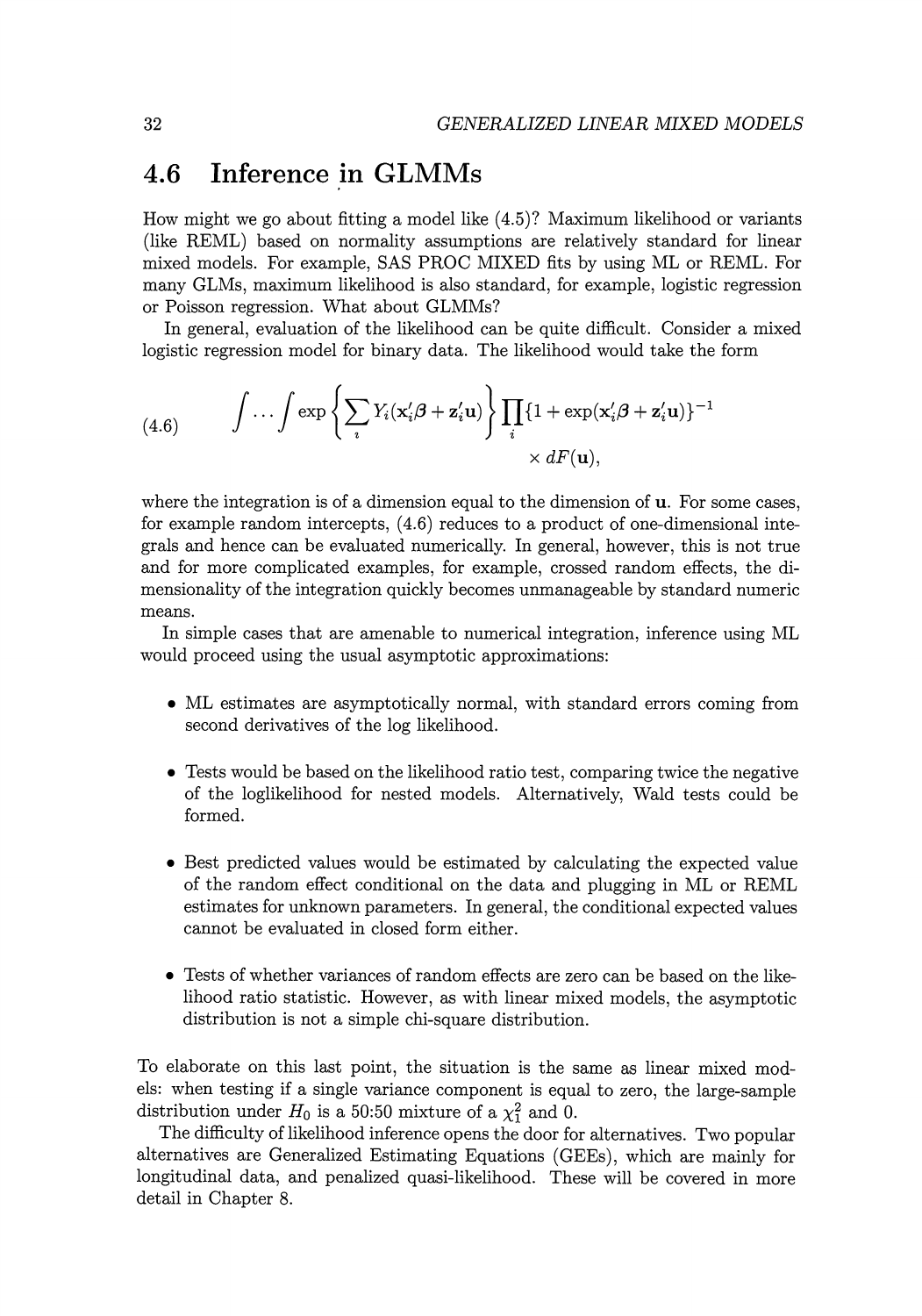## **4.6 Inference in GLMMs**

How might we go about fitting a model like ( 4.5)? Maximum likelihood or variants (like REML) based on normality assumptions are relatively standard for linear mixed models. For example, SAS PROC MIXED fits by using ML or REML. For many GLMs, maximum likelihood is also standard, for example, logistic regression or Poisson regression. What about GLMMs?

In general, evaluation of the likelihood can be quite difficult. Consider a mixed logistic regression model for binary data. The likelihood would take the form

(4.6) 
$$
\int \cdots \int \exp \left\{ \sum_i Y_i(\mathbf{x}_i'\boldsymbol{\beta} + \mathbf{z}_i'\mathbf{u}) \right\} \prod_i \{1 + \exp(\mathbf{x}_i'\boldsymbol{\beta} + \mathbf{z}_i'\mathbf{u})\}^{-1} \times dF(\mathbf{u}),
$$

where the integration is of a dimension equal to the dimension of **u**. For some cases, for example random intercepts, (4.6) reduces to a product of one-dimensional integrals and hence can be evaluated numerically. In general, however, this is not true and for more complicated examples, for example, crossed random effects, the dimensionality of the integration quickly becomes unmanageable by standard numeric means.

In simple cases that are amenable to numerical integration, inference using ML would proceed using the usual asymptotic approximations:

- ML estimates are asymptotically normal, with standard errors coming from second derivatives of the log likelihood.
- Tests would be based on the likelihood ratio test, comparing twice the negative of the loglikelihood for nested models. Alternatively, Wald tests could be formed.
- Best predicted values would be estimated by calculating the expected value of the random effect conditional on the data and plugging in ML or REML estimates for unknown parameters. In general, the conditional expected values cannot be evaluated in closed form either.
- Tests of whether variances of random effects are zero can be based on the likelihood ratio statistic. However, as with linear mixed models, the asymptotic distribution is not a simple chi-square distribution.

To elaborate on this last point, the situation is the same as linear mixed models: when testing if a single variance component is equal to zero, the large-sample distribution under  $H_0$  is a 50:50 mixture of a  $\chi_1^2$  and 0.

The difficulty of likelihood inference opens the door for alternatives. Two popular alternatives are Generalized Estimating Equations (GEEs), which are mainly for longitudinal data, and penalized quasi-likelihood. These will be covered in more detail in Chapter 8.